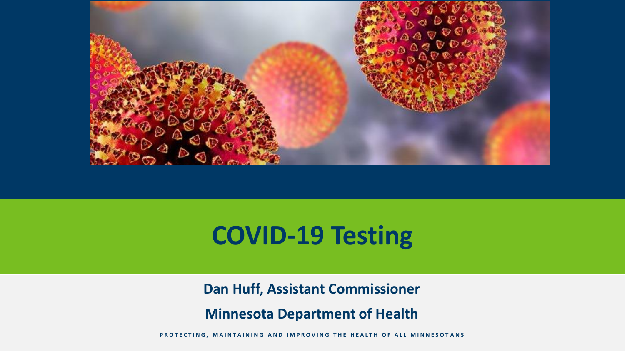

## **COVID-19 Testing**

**Dan Huff, Assistant Commissioner**

**Minnesota Department of Health**

PROTECTING, MAINTAINING AND IMPROVING THE HEALTH OF ALL MINNESOTANS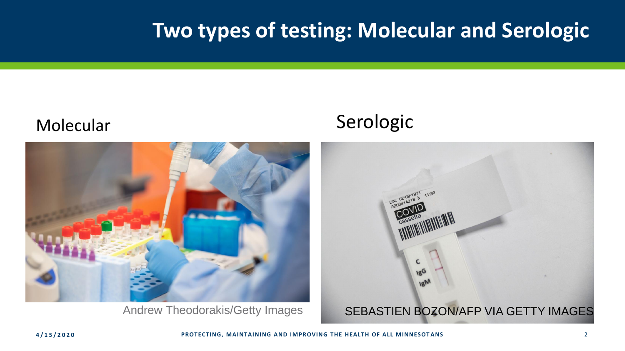#### **Two types of testing: Molecular and Serologic**



#### Molecular Serologic

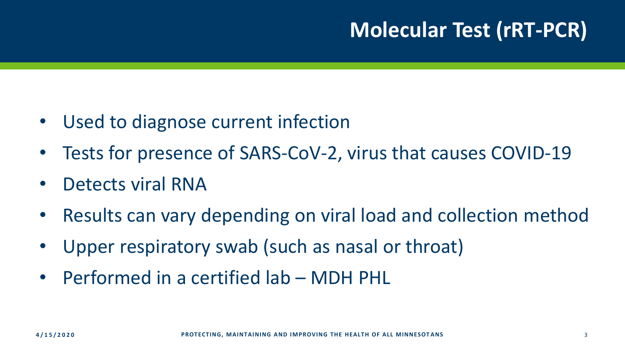#### **Molecular Test (rRT-PCR)**

- Used to diagnose current infection
- Tests for presence of SARS-CoV-2, virus that causes COVID-19
- Detects viral RNA
- Results can vary depending on viral load and collection method
- Upper respiratory swab (such as nasal or throat)
- Performed in a certified lab MDH PHL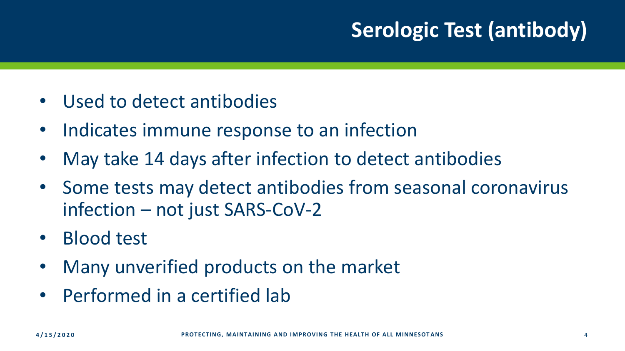### **Serologic Test (antibody)**

- Used to detect antibodies
- Indicates immune response to an infection
- May take 14 days after infection to detect antibodies
- Some tests may detect antibodies from seasonal coronavirus infection – not just SARS-CoV-2
- Blood test
- Many unverified products on the market
- Performed in a certified lab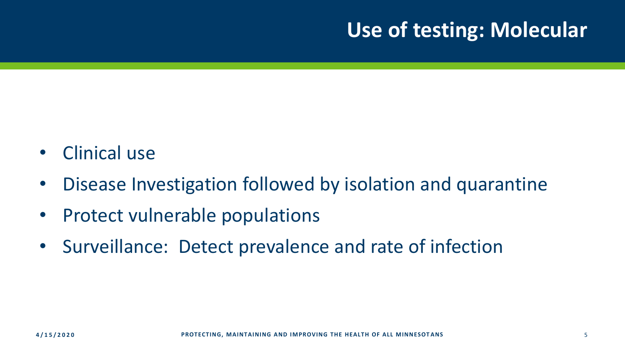#### **Use of testing: Molecular**

- Clinical use
- Disease Investigation followed by isolation and quarantine
- Protect vulnerable populations
- Surveillance: Detect prevalence and rate of infection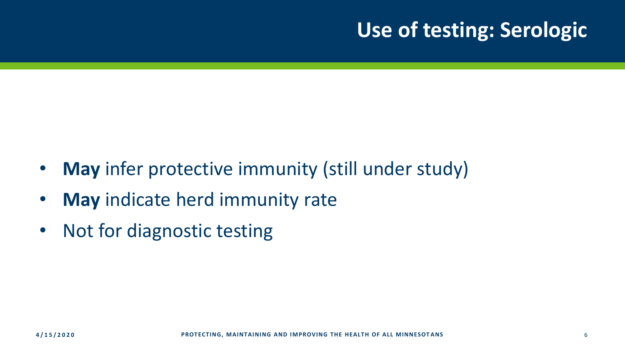#### **Use of testing: Serologic**

- **May** infer protective immunity (still under study)
- **May** indicate herd immunity rate
- Not for diagnostic testing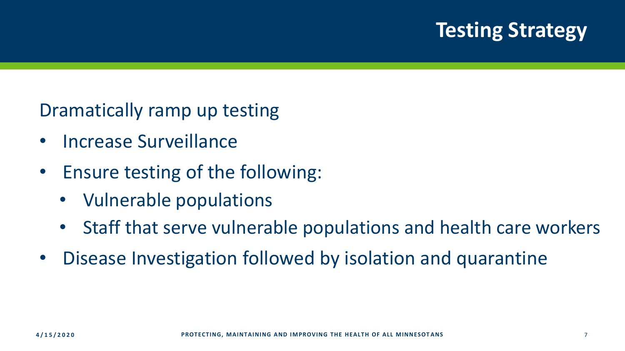#### **Testing Strategy**

Dramatically ramp up testing

- Increase Surveillance
- Ensure testing of the following:
	- Vulnerable populations
	- Staff that serve vulnerable populations and health care workers
- Disease Investigation followed by isolation and quarantine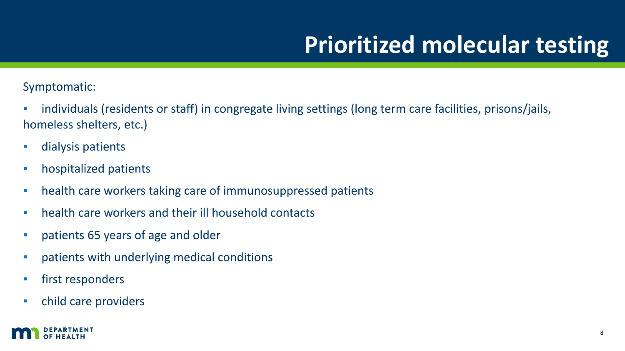## **Prioritized molecular testing**

Symptomatic:

- individuals (residents or staff) in congregate living settings (long term care facilities, prisons/jails, homeless shelters, etc.)
- dialysis patients
- **•** hospitalized patients
- **•** health care workers taking care of immunosuppressed patients
- health care workers and their ill household contacts
- patients 65 years of age and older
- patients with underlying medical conditions
- **·** first responders
- child care providers

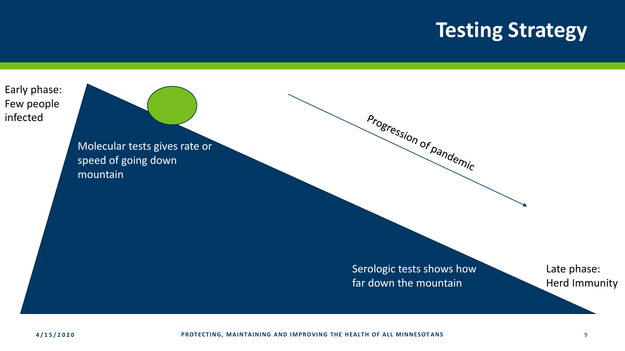#### **Testing Strategy**



Molecular tests gives rate or speed of going down mountain

> Serologic tests shows how far down the mountain

Progression of pandemic

Late phase: Herd Immunity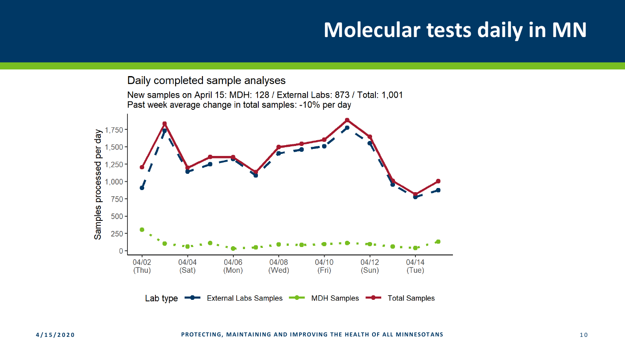#### **Molecular tests daily in MN**

Daily completed sample analyses

New samples on April 15: MDH: 128 / External Labs: 873 / Total: 1,001 Past week average change in total samples: - 10% per day

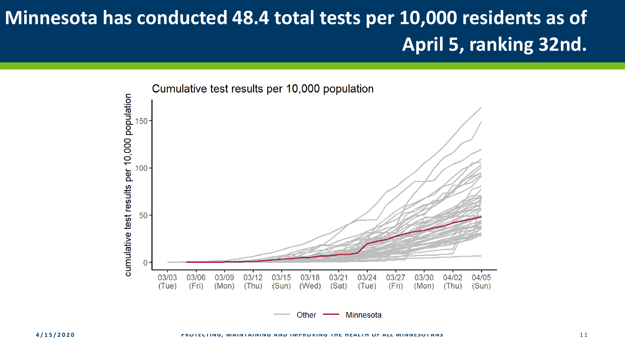#### **Minnesota has conducted 48.4 total tests per 10,000 residents as of April 5, ranking 32nd.**



Other Minnesota